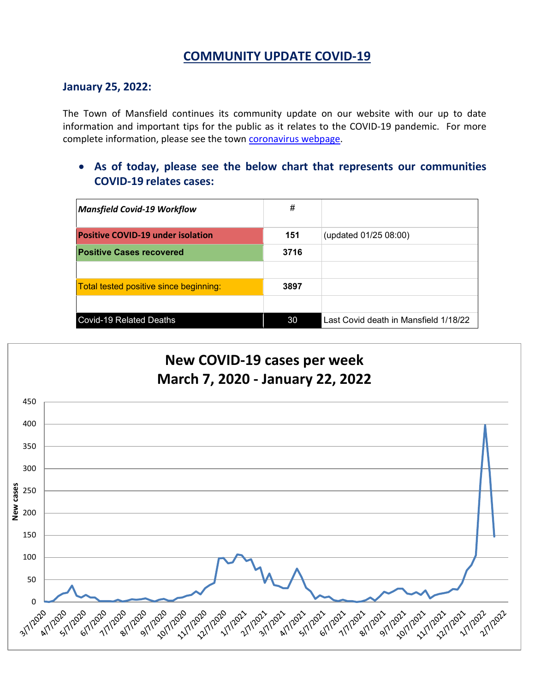## **COMMUNITY UPDATE COVID-19**

#### **January 25, 2022:**

The Town of Mansfield continues its community update on our website with our up to date information and important tips for the public as it relates to the COVID-19 pandemic. For more complete information, please see the town [coronavirus webpage.](https://www.mansfieldma.com/536/Coronavirus-Information)

• **As of today, please see the below chart that represents our communities COVID-19 relates cases:**

| <b>Mansfield Covid-19 Workflow</b>       | #    |                                       |
|------------------------------------------|------|---------------------------------------|
| <b>Positive COVID-19 under isolation</b> | 151  | (updated 01/25 08:00)                 |
| <b>Positive Cases recovered</b>          | 3716 |                                       |
|                                          |      |                                       |
| Total tested positive since beginning:   | 3897 |                                       |
|                                          |      |                                       |
| <b>Covid-19 Related Deaths</b>           | 30   | Last Covid death in Mansfield 1/18/22 |

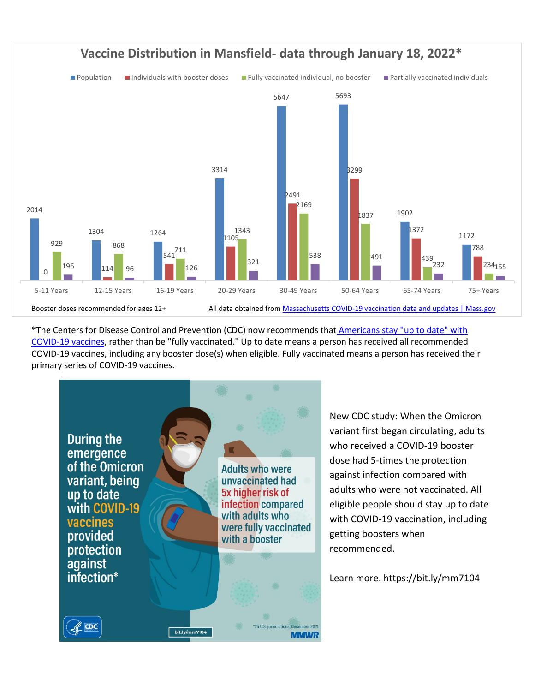

\*The Centers for Disease Control and Prevention (CDC) now recommends that Americans stay "up to date" with [COVID-19 vaccines,](https://www.cdc.gov/coronavirus/2019-ncov/vaccines/stay-up-to-date.html) rather than be "fully vaccinated." Up to date means a person has received all recommended COVID-19 vaccines, including any booster dose(s) when eligible. Fully vaccinated means a person has received their primary series of COVID-19 vaccines.



New CDC study: When the Omicron variant first began circulating, adults who received a COVID-19 booster dose had 5-times the protection against infection compared with adults who were not vaccinated. All eligible people should stay up to date with COVID-19 vaccination, including getting boosters when recommended.

Learn more. [https://bit.ly/mm7104](https://l.facebook.com/l.php?u=https%3A%2F%2Fbit.ly%2Fmm7104%3Ffbclid%3DIwAR0r1f5CNwUUoYQ3PL8hnhI4Fl9iD-3Tukt5Zy9dzC_F6jol_5BdxTW5aOM&h=AT0yyz_C6fkr8KwSMDG88Ov0-YbbzLMBX7eeFfuO1syVRVIsnhcZ3QOavD0bDIjHS1IsOgR6Pgwhcbx7xZ7kCeAFV6IZjtzROHF28GcwRYkNGPTQ1wb753b3yQ5QkC_cPw&__tn__=-UK*F&c%5b0%5d=AT1AQDnwMbwp8l85B0LyW9KXwIpRfnKM36ln7WC5RbtlAZw2LEpTujKpvp8Q6ieXCYNvWRAK-lsEeB69maAKa_t5ug6ZR3pwQ7mi2oUcYPsdWqAZFUw18YtJimONZO4MN4maU-hBYAtdLC1RmugbvO-Bu4t4FWBvMt0wOWZDXZK2Wg)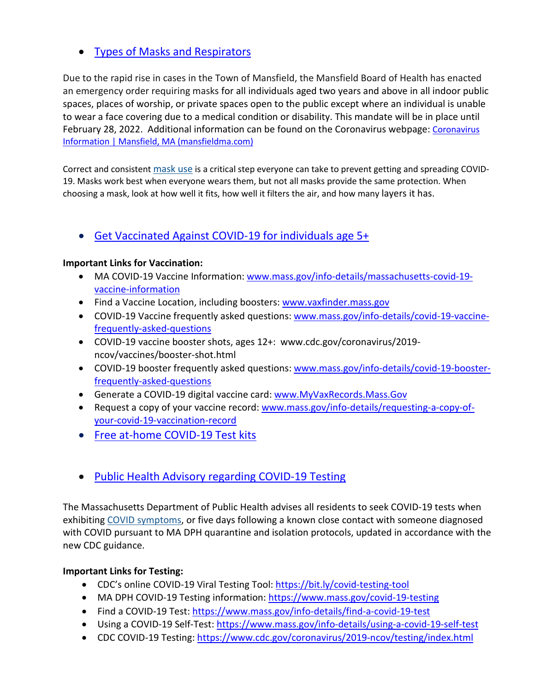## • [Types of Masks and Respirators](https://www.cdc.gov/coronavirus/2019-ncov/prevent-getting-sick/types-of-masks.html)

Due to the rapid rise in cases in the Town of Mansfield, the Mansfield Board of Health has enacted an emergency order requiring masks for all individuals aged two years and above in all indoor public spaces, places of worship, or private spaces open to the public except where an individual is unable to wear a face covering due to a medical condition or disability. This mandate will be in place until February 28, 2022. Additional information can be found on the [Coronavirus](https://www.mansfieldma.com/536/Coronavirus-Information) webpage: Coronavirus [Information | Mansfield, MA \(mansfieldma.com\)](https://www.mansfieldma.com/536/Coronavirus-Information)

Correct and consistent [mask use](https://www.cdc.gov/coronavirus/2019-ncov/prevent-getting-sick/about-face-coverings.html) is a critical step everyone can take to prevent getting and spreading COVID-19. Masks work best when everyone wears them, but not all masks provide the same protection. When choosing a mask, look at how well it fits, how well it filters the air, and how many layers it has.

• [Get Vaccinated Against COVID-19](https://www.mass.gov/covid-19-vaccine) for individuals age 5+

## **Important Links for Vaccination:**

- MA COVID-19 Vaccine Information: [www.mass.gov/info-details/massachusetts-covid-19](http://www.mass.gov/info-details/massachusetts-covid-19-vaccine-information) [vaccine-information](http://www.mass.gov/info-details/massachusetts-covid-19-vaccine-information)
- Find a Vaccine Location, including boosters: [www.vaxfinder.mass.gov](http://www.vaxfinder.mass.gov/)
- COVID-19 Vaccine frequently asked questions: [www.mass.gov/info-details/covid-19-vaccine](http://www.mass.gov/info-details/covid-19-vaccine-frequently-asked-questions)[frequently-asked-questions](http://www.mass.gov/info-details/covid-19-vaccine-frequently-asked-questions)
- COVID-19 vaccine booster shots, ages 12+: www.cdc.gov/coronavirus/2019 ncov/vaccines/booster-shot.html
- COVID-19 booster frequently asked questions: [www.mass.gov/info-details/covid-19-booster](http://www.mass.gov/info-details/covid-19-booster-frequently-asked-questions)[frequently-asked-questions](http://www.mass.gov/info-details/covid-19-booster-frequently-asked-questions)
- Generate a COVID-19 digital vaccine card: [www.MyVaxRecords.Mass.Gov](http://www.myvaxrecords.mass.gov/)
- Request a copy of your vaccine record: [www.mass.gov/info-details/requesting-a-copy-of](http://www.mass.gov/info-details/requesting-a-copy-of-your-covid-19-vaccination-record)[your-covid-19-vaccination-record](http://www.mass.gov/info-details/requesting-a-copy-of-your-covid-19-vaccination-record)
- [Free at-home COVID-19 Test kits](https://www.covidtests.gov/)
- [Public Health Advisory regarding COVID-19 Testing](https://www.mass.gov/advisory/public-health-advisory-regarding-covid-19-testing)

The Massachusetts Department of Public Health advises all residents to seek COVID-19 tests when exhibiting [COVID symptoms,](https://www.mass.gov/info-details/about-covid-19#symptoms-) or five days following a known close contact with someone diagnosed with COVID pursuant to MA DPH quarantine and isolation protocols, updated in accordance with the new CDC guidance.

## **Important Links for Testing:**

- CDC's online COVID-19 Viral Testing Tool: [https://bit.ly/covid-testing-tool](https://bit.ly/covid-testing-tool?fbclid=IwAR2ddn7qeVY_b_v0O-rkK3en8x-EPMGTVlQDDSNZxwhZrjtH_hTNHEzYKP8)
- MA DPH COVID-19 Testing information:<https://www.mass.gov/covid-19-testing>
- Find a COVID-19 Test:<https://www.mass.gov/info-details/find-a-covid-19-test>
- Using a COVID-19 Self-Test:<https://www.mass.gov/info-details/using-a-covid-19-self-test>
- CDC COVID-19 Testing:<https://www.cdc.gov/coronavirus/2019-ncov/testing/index.html>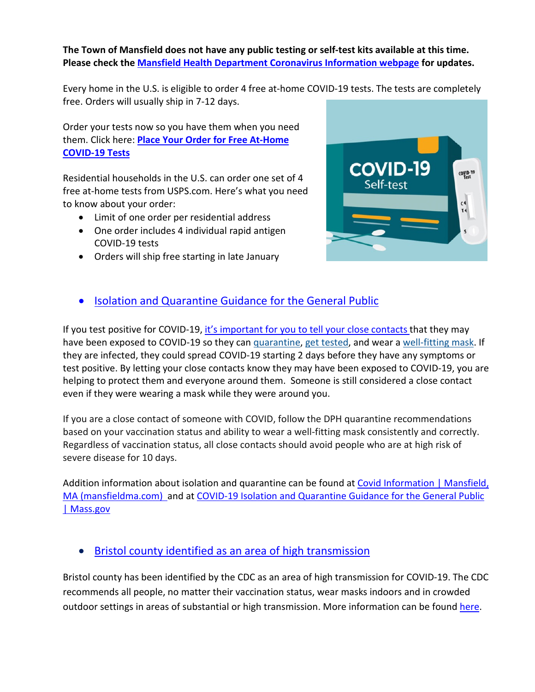## **The Town of Mansfield does not have any public testing or self-test kits available at this time. Please check the [Mansfield Health Department Coronavirus Information webpage](https://www.mansfieldma.com/536/Coronavirus-Information) for updates.**

Every home in the U.S. is eligible to order 4 free at-home COVID-19 tests. The tests are completely free. Orders will usually ship in 7-12 days.

Order your tests now so you have them when you need them. Click here: **[Place Your Order for Free At-Home](https://special.usps.com/testkits)  [COVID-19 Tests](https://special.usps.com/testkits)**

Residential households in the U.S. can order one set of 4 free at-home tests from USPS.com. Here's what you need to know about your order:

- Limit of one order per residential address
- One order includes 4 individual rapid antigen COVID-19 tests
- Orders will ship free starting in late January



## • [Isolation and Quarantine Guidance for the General Public](https://www.mass.gov/info-details/isolation-and-quarantine-guidance-for-the-general-public)

If you test positive for COVID-19, [it's important for you to](https://www.cdc.gov/coronavirus/2019-ncov/daily-life-coping/tell-your-contacts.html) tell your close contacts that they may have been exposed to COVID-19 so they can [quarantine,](https://www.cdc.gov/coronavirus/2019-ncov/your-health/quarantine-isolation.html) [get tested,](https://www.cdc.gov/coronavirus/2019-ncov/testing/diagnostic-testing.html) and wear a [well-fitting mask.](https://www.cdc.gov/coronavirus/2019-ncov/your-health/effective-masks.html) If they are infected, they could spread COVID-19 starting 2 days before they have any symptoms or test positive. By letting your close contacts know they may have been exposed to COVID-19, you are helping to protect them and everyone around them. Someone is still considered a close contact even if they were wearing a mask while they were around you.

If you are a close contact of someone with COVID, follow the DPH quarantine recommendations based on your vaccination status and ability to wear a well-fitting mask consistently and correctly. Regardless of vaccination status, all close contacts should avoid people who are at high risk of severe disease for 10 days.

Addition information about isolation and quarantine can be found at [Covid Information | Mansfield,](https://www.mansfieldma.com/601/Covid-Information)  [MA \(mansfieldma.com\)](https://www.mansfieldma.com/601/Covid-Information) and at [COVID-19 Isolation and Quarantine Guidance for the General Public](https://www.mass.gov/info-details/covid-19-isolation-and-quarantine-guidance-for-the-general-public)  [| Mass.gov](https://www.mass.gov/info-details/covid-19-isolation-and-quarantine-guidance-for-the-general-public)

## • [Bristol county identified as an area of high](https://covid.cdc.gov/covid-data-tracker/#county-view) transmission

Bristol county has been identified by the CDC as an area of high transmission for COVID-19. The CDC recommends all people, no matter their vaccination status, wear masks indoors and in crowded outdoor settings in areas of substantial or high transmission. More information can be found [here.](https://www.cdc.gov/coronavirus/2019-ncov/prevent-getting-sick/diy-cloth-face-coverings.html)